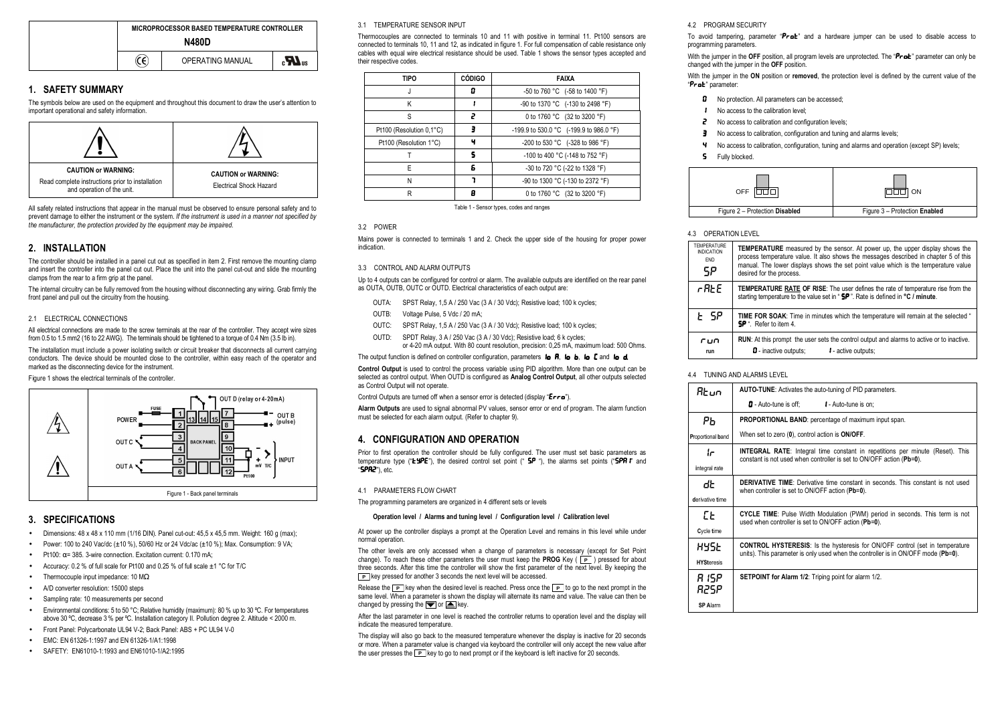

# **1. SAFETY SUMMARY**

The symbols below are used on the equipment and throughout this document to draw the user's attention to important operational and safety information.



All safety related instructions that appear in the manual must be observed to ensure personal safety and to prevent damage to either the instrument or the system. *If the instrument is used in a manner not specified by the manufacturer, the protection provided by the equipment may be impaired.*

## **2. INSTALLATION**

The controller should be installed in a panel cut out as specified in item 2. First remove the mounting clamp and insert the controller into the panel cut out. Place the unit into the panel cut-out and slide the mounting clamps from the rear to a firm grip at the panel.

The internal circuitry can be fully removed from the housing without disconnecting any wiring. Grab firmly the front panel and pull out the circuitry from the housing.

#### 2.1 ELECTRICAL CONNECTIONS

All electrical connections are made to the screw terminals at the rear of the controller. They accept wire sizes from 0.5 to 1.5 mm2 (16 to 22 AWG). The terminals should be tightened to a torque of 0.4 Nm (3.5 lb in).

The installation must include a power isolating switch or circuit breaker that disconnects all current carrying conductors. The device should be mounted close to the controller, within easy reach of the operator and marked as the disconnecting device for the instrument.

Figure 1 shows the electrical terminals of the controller.



# **3. SPECIFICATIONS**

- Dimensions: 48 x 48 x 110 mm (1/16 DIN). Panel cut-out: 45,5 x 45,5 mm. Weight: 160 g (max);
- •Power: 100 to 240 Vac/dc (±10 %), 50/60 Hz or 24 Vdc/ac (±10 %); Max. Consumption: 9 VA;
- Pt100:  $\alpha$ = 385. 3-wire connection. Excitation current: 0.170 mA;
- •Accuracy: 0.2 % of full scale for Pt100 and 0.25 % of full scale ±1 °C for T/C
- •Thermocouple input impedance: 10 M<sup>Ω</sup>
- •A/D converter resolution: 15000 steps
- Sampling rate: 10 measurements per second
- • Environmental conditions: 5 to 50 °C; Relative humidity (maximum): 80 % up to 30 ºC. For temperatures above 30 ºC, decrease 3 % per ºC. Installation category II. Pollution degree 2. Altitude < 2000 m.
- Front Panel: Polycarbonate UL94 V-2; Back Panel: ABS + PC UL94 V-0
- EMC: EN 61326-1:1997 and EN 61326-1/A1:1998
- SAFETY: EN61010-1:1993 and EN61010-1/A2:1995

#### 3.1 TEMPERATURE SENSOR INPUT

Thermocouples are connected to terminals 10 and 11 with positive in terminal 11. Pt100 sensors are connected to terminals 10, 11 and 12, as indicated in figure 1. For full compensation of cable resistance only cables with equal wire electrical resistance should be used. Table 1 shows the sensor types accepted and their respective codes.

| <b>TIPO</b>              | <b>CÓDIGO</b> | <b>FAIXA</b>                            |  |
|--------------------------|---------------|-----------------------------------------|--|
| J                        | n             | $-50$ to 760 °C ( $-58$ to 1400 °F)     |  |
| κ                        |               | -90 to 1370 °C (-130 to 2498 °F)        |  |
| S                        | 2             | 0 to 1760 °C (32 to 3200 °F)            |  |
| Pt100 (Resolution 0.1°C) |               | -199.9 to 530.0 °C (-199.9 to 986.0 °F) |  |
| Pt100 (Resolution 1°C)   | ч             | $-200$ to 530 °C ( $-328$ to 986 °F)    |  |
|                          |               | -100 to 400 °C (-148 to 752 °F)         |  |
| F                        | Б             | -30 to 720 °C (-22 to 1328 °F)          |  |
| N                        |               | -90 to 1300 °C (-130 to 2372 °F)        |  |
| R                        | 8             | 0 to 1760 °C (32 to 3200 °F)            |  |

Table 1 - Sensor types, codes and ranges

#### 3.2 POWER

Mains power is connected to terminals 1 and 2. Check the upper side of the housing for proper power indication.

### 3.3 CONTROL AND ALARM OUTPUTS

Up to 4 outputs can be configured for control or alarm. The available outputs are identified on the rear panel as OUTA, OUTB, OUTC or OUTD. Electrical characteristics of each output are:

- OUTA: SPST Relay, 1,5 A / 250 Vac (3 A / 30 Vdc); Resistive load; 100 k cycles;
- OUTB: Voltage Pulse, 5 Vdc / 20 mA;
- OUTC: SPST Relay, 1,5 A / 250 Vac (3 A / 30 Vdc); Resistive load; 100 k cycles;
- OUTD: SPDT Relay, 3 A / 250 Vac (3 A / 30 Vdc); Resistive load; 6 k cycles; or 4-20 mA output. With 80 count resolution, precision: 0,25 mA, maximum load: 500 Ohms.

The output function is defined on controller configuration, parameters  $I \circ R$ ,  $I \circ L$ ,  $I \circ L$  and  $I \circ L$ 

**Control Output** is used to control the process variable using PID algorithm. More than one output can be selected as control output. When OUTD is configured as **Analog Control Output**, all other outputs selected as Control Output will not operate.

Control Outputs are turned off when a sensor error is detected (display "Erro").

**Alarm Outputs** are used to signal abnormal PV values, sensor error or end of program. The alarm function must be selected for each alarm output. (Refer to chapter 9).

# **4. CONFIGURATION AND OPERATION**

Prior to first operation the controller should be fully configured. The user must set basic parameters as temperature type ("LYPE"), the desired control set point (" SP "), the alarms set points ("SPR I" and "SPA2"), etc.

### 4.1 PARAMETERS FLOW CHART

The programming parameters are organized in 4 different sets or levels

#### **Operation level / Alarms and tuning level / Configuration level / Calibration level**

At power up the controller displays a prompt at the Operation Level and remains in this level while under normal operation.

The other levels are only accessed when a change of parameters is necessary (except for Set Point change). To reach these other parameters the user must keep the PROG Key (P) pressed for about three seconds. After this time the controller will show the first parameter of the next level. By keeping the **P** key pressed for another 3 seconds the next level will be accessed.

Release the **P** key when the desired level is reached. Press once the **P** to go to the next prompt in the same level. When a parameter is shown the display will alternate its name and value. The value can then be changed by pressing the  $\blacktriangledown$  or  $\blacktriangle$  key.

After the last parameter in one level is reached the controller returns to operation level and the display will indicate the measured temperature.

The display will also go back to the measured temperature whenever the display is inactive for 20 seconds or more. When a parameter value is changed via keyboard the controller will only accept the new value after the user presses the **P** key to go to next prompt or if the keyboard is left inactive for 20 seconds.

### 4.2 PROGRAM SECURITY

To avoid tampering, parameter " $Prob$ " and a hardware jumper can be used to disable access to programming parameters.

With the jumper in the **OFF** position, all program levels are unprotected. The "**Prot**" parameter can only be changed with the jumper in the **OFF** position.

With the jumper in the **ON** position or **removed**, the protection level is defined by the current value of the "Prot" parameter:

- **0** No protection. All parameters can be accessed;
- **1** No access to the calibration level:
- 2 No access to calibration and configuration levels;
- **3** No access to calibration, configuration and tuning and alarms levels;
- 4 No access to calibration, configuration, tuning and alarms and operation (except SP) levels;
- 5 Fully blocked.



### 4.3 OPERATION LEVEL

| TFMPFRATURF<br><b>INDICATION</b><br><b>FND</b><br>5P | <b>TEMPERATURE</b> measured by the sensor. At power up, the upper display shows the<br>process temperature value. It also shows the messages described in chapter 5 of this<br>manual. The lower displays shows the set point value which is the temperature value<br>desired for the process. |  |  |
|------------------------------------------------------|------------------------------------------------------------------------------------------------------------------------------------------------------------------------------------------------------------------------------------------------------------------------------------------------|--|--|
| cBEF                                                 | TEMPERATURE RATE OF RISE: The user defines the rate of temperature rise from the<br>starting temperature to the value set in " $5P$ ". Rate is defined in $°C / minute$ .                                                                                                                      |  |  |
| ኑ ናዖ                                                 | TIME FOR SOAK: Time in minutes which the temperature will remain at the selected "<br><b>SP</b> ". Refer to item 4.                                                                                                                                                                            |  |  |
| run<br>run                                           | <b>RUN:</b> At this prompt the user sets the control output and alarms to active or to inactive.<br>$\mathbf{D}$ - inactive outputs;<br><b>1</b> - active outputs;                                                                                                                             |  |  |

### 4.4 TUNING AND ALARMS LEVEL

| 85 un             | AUTO-TUNE: Activates the auto-tuning of PID parameters.                                                                                                                  |  |  |  |
|-------------------|--------------------------------------------------------------------------------------------------------------------------------------------------------------------------|--|--|--|
|                   | $\bm{B}$ - Auto-tune is off:<br><b>I</b> - Auto-tune is on:                                                                                                              |  |  |  |
| ΡЬ                | <b>PROPORTIONAL BAND:</b> percentage of maximum input span.                                                                                                              |  |  |  |
| Proportional band | When set to zero (0), control action is ON/OFF.                                                                                                                          |  |  |  |
| ١r                | <b>INTEGRAL RATE:</b> Integral time constant in repetitions per minute (Reset). This<br>constant is not used when controller is set to ON/OFF action (Pb=0).             |  |  |  |
| integral rate     |                                                                                                                                                                          |  |  |  |
| db                | <b>DERIVATIVE TIME:</b> Derivative time constant in seconds. This constant is not used<br>when controller is set to ON/OFF action (Pb=0).                                |  |  |  |
| derivative time   |                                                                                                                                                                          |  |  |  |
| ЕE                | <b>CYCLE TIME:</b> Pulse Width Modulation (PWM) period in seconds. This term is not<br>used when controller is set to ON/OFF action (Pb=0).                              |  |  |  |
| Cycle time        |                                                                                                                                                                          |  |  |  |
| 895E              | <b>CONTROL HYSTERESIS:</b> Is the hysteresis for ON/OFF control (set in temperature<br>units). This parameter is only used when the controller is in ON/OFF mode (Pb=0). |  |  |  |
| <b>HYSteresis</b> |                                                                                                                                                                          |  |  |  |
| R ISP<br>825P     | SETPOINT for Alarm 1/2: Triping point for alarm 1/2.                                                                                                                     |  |  |  |
| SP Alarm          |                                                                                                                                                                          |  |  |  |